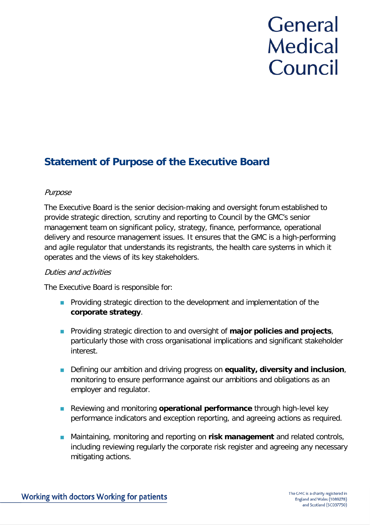# General **Medical** Council

# **Statement of Purpose of the Executive Board**

## Purpose

The Executive Board is the senior decision-making and oversight forum established to provide strategic direction, scrutiny and reporting to Council by the GMC's senior management team on significant policy, strategy, finance, performance, operational delivery and resource management issues. It ensures that the GMC is a high-performing and agile regulator that understands its registrants, the health care systems in which it operates and the views of its key stakeholders.

### Duties and activities

The Executive Board is responsible for:

- **Providing strategic direction to the development and implementation of the corporate strategy**.
- **Providing strategic direction to and oversight of major policies and projects,** particularly those with cross organisational implications and significant stakeholder interest.
- Defining our ambition and driving progress on **equality, diversity and inclusion**, monitoring to ensure performance against our ambitions and obligations as an employer and regulator.
- **Reviewing and monitoring operational performance** through high-level key performance indicators and exception reporting, and agreeing actions as required.
- Maintaining, monitoring and reporting on **risk management** and related controls, including reviewing regularly the corporate risk register and agreeing any necessary mitigating actions.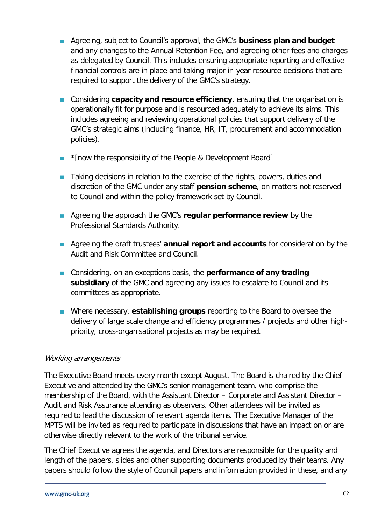- Agreeing, subject to Council's approval, the GMC's **business plan and budget** and any changes to the Annual Retention Fee, and agreeing other fees and charges as delegated by Council. This includes ensuring appropriate reporting and effective financial controls are in place and taking major in-year resource decisions that are required to support the delivery of the GMC's strategy.
- Considering **capacity and resource efficiency**, ensuring that the organisation is operationally fit for purpose and is resourced adequately to achieve its aims. This includes agreeing and reviewing operational policies that support delivery of the GMC's strategic aims (including finance, HR, IT, procurement and accommodation policies).
- **T** \* [now the responsibility of the People & Development Board]
- **Taking decisions in relation to the exercise of the rights, powers, duties and** discretion of the GMC under any staff **pension scheme**, on matters not reserved to Council and within the policy framework set by Council.
- Agreeing the approach the GMC's **regular performance review** by the Professional Standards Authority.
- Agreeing the draft trustees' **annual report and accounts** for consideration by the Audit and Risk Committee and Council.
- Considering, on an exceptions basis, the **performance of any trading subsidiary** of the GMC and agreeing any issues to escalate to Council and its committees as appropriate.
- Where necessary, **establishing groups** reporting to the Board to oversee the delivery of large scale change and efficiency programmes / projects and other highpriority, cross-organisational projects as may be required.

### Working arrangements

The Executive Board meets every month except August. The Board is chaired by the Chief Executive and attended by the GMC's senior management team, who comprise the membership of the Board, with the Assistant Director – Corporate and Assistant Director – Audit and Risk Assurance attending as observers. Other attendees will be invited as required to lead the discussion of relevant agenda items. The Executive Manager of the MPTS will be invited as required to participate in discussions that have an impact on or are otherwise directly relevant to the work of the tribunal service.

The Chief Executive agrees the agenda, and Directors are responsible for the quality and length of the papers, slides and other supporting documents produced by their teams. Any papers should follow the style of Council papers and information provided in these, and any